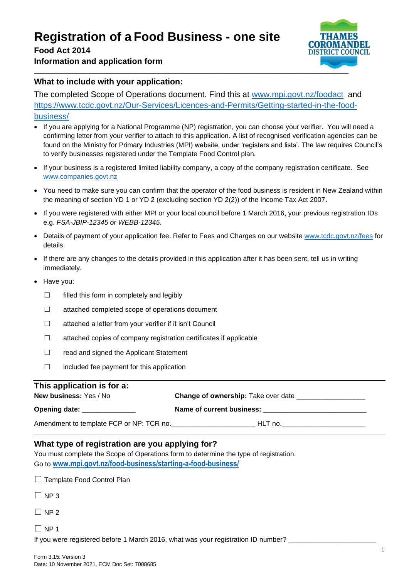**Food Act 2014**



# **Information and application form**

# **What to include with your application:**

The completed Scope of Operations document. Find this at [www.mpi.govt.nz/foodact](http://www.mpi.govt.nz/foodact) and [https://www.tcdc.govt.nz/Our-Services/Licences-and-Permits/Getting-started-in-the-food](https://www.tcdc.govt.nz/Our-Services/Licences-and-Permits/Getting-started-in-the-food-business/)[business/](https://www.tcdc.govt.nz/Our-Services/Licences-and-Permits/Getting-started-in-the-food-business/)

- If you are applying for a National Programme (NP) registration, you can choose your verifier. You will need a confirming letter from your verifier to attach to this application. A list of recognised verification agencies can be found on the Ministry for Primary Industries (MPI) website, under 'registers and lists'. The law requires Council's to verify businesses registered under the Template Food Control plan.
- If your business is a registered limited liability company, a copy of the company registration certificate. See [www.companies.govt.nz](http://www.companies.govt.nz/)
- You need to make sure you can confirm that the operator of the food business is resident in New Zealand within the meaning of section YD 1 or YD 2 (excluding section YD 2(2)) of the Income Tax Act 2007.
- If you were registered with either MPI or your local council before 1 March 2016, your previous registration IDs e.g. *FSA-JBIP-12345 or WEBB-12345.*
- Details of payment of your application fee. Refer to Fees and Charges on our website [www.tcdc.govt.nz/fees](http://www.tcdc.govt.nz/fees) for details.
- If there are any changes to the details provided in this application after it has been sent, tell us in writing immediately.
- Have you:
	- $\Box$  filled this form in completely and legibly
	- ☐ attached completed scope of operations document
	- ☐ attached a letter from your verifier if it isn't Council
	- ☐ attached copies of company registration certificates if applicable
	- ☐ read and signed the Applicant Statement
	- ☐ included fee payment for this application

# **This application is for a:**

| <b>New business:</b> Yes / No            | <b>Change of ownership:</b> Take over date |  |
|------------------------------------------|--------------------------------------------|--|
| Opening date:                            | Name of current business:                  |  |
| Amendment to template FCP or NP: TCR no. | HLT no.                                    |  |

## **What type of registration are you applying for?**

You must complete the Scope of Operations form to determine the type of registration. Go to **[www.mpi.govt.nz/food-business/starting-a-food-business/](http://www.mpi.govt.nz/food-business/starting-a-food-business/)**

|  |  |  |  | □ Template Food Control Plan |  |
|--|--|--|--|------------------------------|--|
|--|--|--|--|------------------------------|--|

 $\square$  NP 3

 $\Box$  NP 2

 $\Box$  NP 1

If you were registered before 1 March 2016, what was your registration ID number?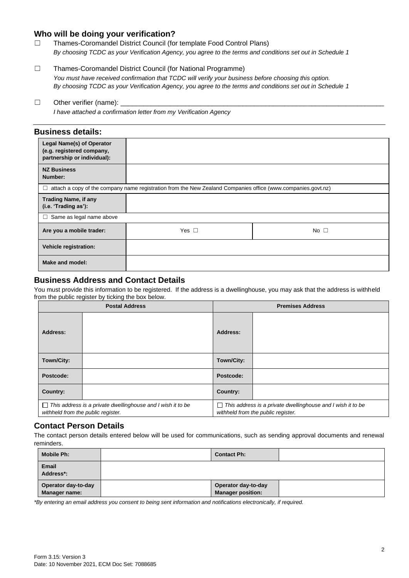### **Who will be doing your verification?**

- ☐ Thames-Coromandel District Council (for template Food Control Plans) *By choosing TCDC as your Verification Agency, you agree to the terms and conditions set out in Schedule 1*
- ☐ Thames-Coromandel District Council (for National Programme) *You must have received confirmation that TCDC will verify your business before choosing this option. By choosing TCDC as your Verification Agency, you agree to the terms and conditions set out in Schedule 1*
- $\Box$  Other verifier (name):

*I have attached a confirmation letter from my Verification Agency*

| <b>Business details:</b>                                                                     |                                                                                                              |              |
|----------------------------------------------------------------------------------------------|--------------------------------------------------------------------------------------------------------------|--------------|
| <b>Legal Name(s) of Operator</b><br>(e.g. registered company,<br>partnership or individual): |                                                                                                              |              |
| <b>NZ Business</b><br>Number:                                                                |                                                                                                              |              |
| ⊔                                                                                            | attach a copy of the company name registration from the New Zealand Companies office (www.companies.govt.nz) |              |
| <b>Trading Name, if any</b><br>(i.e. 'Trading as'):                                          |                                                                                                              |              |
| Same as legal name above<br>□                                                                |                                                                                                              |              |
| Are you a mobile trader:                                                                     | Yes $\Box$                                                                                                   | No $\square$ |
| Vehicle registration:                                                                        |                                                                                                              |              |
| Make and model:                                                                              |                                                                                                              |              |

### **Business Address and Contact Details**

You must provide this information to be registered. If the address is a dwellinghouse, you may ask that the address is withheld from the public register by ticking the box below.

| <b>Postal Address</b>              |                                                             | <b>Premises Address</b> |                                                                                                          |
|------------------------------------|-------------------------------------------------------------|-------------------------|----------------------------------------------------------------------------------------------------------|
| Address:                           |                                                             | Address:                |                                                                                                          |
| Town/City:                         |                                                             | Town/City:              |                                                                                                          |
| Postcode:                          |                                                             | Postcode:               |                                                                                                          |
| Country:                           |                                                             | Country:                |                                                                                                          |
| withheld from the public register. | This address is a private dwellinghouse and I wish it to be |                         | $\Box$ This address is a private dwellinghouse and I wish it to be<br>withheld from the public register. |

## **Contact Person Details**

The contact person details entered below will be used for communications, such as sending approval documents and renewal reminders.

| Mobile Ph:                           | <b>Contact Ph:</b>                              |  |
|--------------------------------------|-------------------------------------------------|--|
| <b>Email</b><br>Address*:            |                                                 |  |
| Operator day-to-day<br>Manager name: | Operator day-to-day<br><b>Manager position:</b> |  |

*\*By entering an email address you consent to being sent information and notifications electronically, if required.*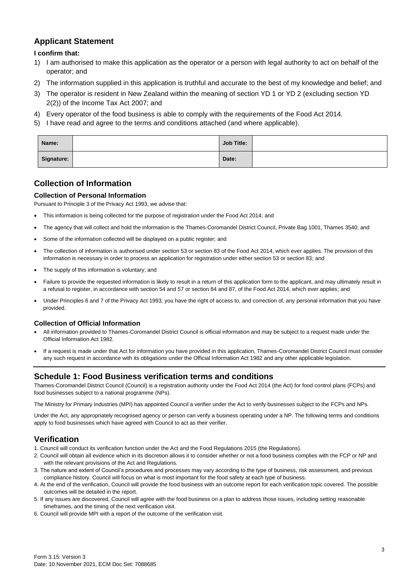# **Applicant Statement**

### **I confirm that:**

- 1) I am authorised to make this application as the operator or a person with legal authority to act on behalf of the operator; and
- 2) The information supplied in this application is truthful and accurate to the best of my knowledge and belief; and
- 3) The operator is resident in New Zealand within the meaning of section YD 1 or YD 2 (excluding section YD 2(2)) of the Income Tax Act 2007; and
- 4) Every operator of the food business is able to comply with the requirements of the Food Act 2014.
- 5) I have read and agree to the terms and conditions attached (and where applicable).

| Name:      | Job Title: |  |
|------------|------------|--|
| Signature: | Date:      |  |

# **Collection of Information**

### **Collection of Personal Information**

Pursuant to Principle 3 of the Privacy Act 1993, we advise that:

- This information is being collected for the purpose of registration under the Food Act 2014; and
- The agency that will collect and hold the information is the Thames-Coromandel District Council, Private Bag 1001, Thames 3540; and
- Some of the information collected will be displayed on a public register; and
- The collection of information is authorised under section 53 or section 83 of the Food Act 2014, which ever applies. The provision of this information is necessary in order to process an application for registration under either section 53 or section 83; and
- The supply of this information is voluntary; and
- Failure to provide the requested information is likely to result in a return of this application form to the applicant, and may ultimately result in a refusal to register, in accordance with section 54 and 57 or section 84 and 87, of the Food Act 2014, which ever applies; and
- Under Principles 6 and 7 of the Privacy Act 1993, you have the right of access to, and correction of, any personal information that you have provided.

#### **Collection of Official Information**

- All information provided to Thames-Coromandel District Council is official information and may be subject to a request made under the Official Information Act 1982.
- If a request is made under that Act for information you have provided in this application, Thames-Coromandel District Council must consider any such request in accordance with its obligations under the Official Information Act 1982 and any other applicable legislation.

### **Schedule 1: Food Business verification terms and conditions**

Thames-Coromandel District Council (Council) is a registration authority under the Food Act 2014 (the Act) for food control plans (FCPs) and food businesses subject to a national programme (NPs).

The Ministry for Primary Industries (MPI) has appointed Council a verifier under the Act to verify businesses subject to the FCPs and NPs.

Under the Act, any appropriately recognised agency or person can verify a business operating under a NP. The following terms and conditions apply to food businesses which have agreed with Council to act as their verifier.

## **Verification**

- 1. Council will conduct its verification function under the Act and the Food Regulations 2015 (the Regulations).
- 2. Council will obtain all evidence which in its discretion allows it to consider whether or not a food business complies with the FCP or NP and with the relevant provisions of the Act and Regulations.
- 3. The nature and extent of Council's procedures and processes may vary according to the type of business, risk assessment, and previous compliance history. Council will focus on what is most important for the food safety at each type of business.
- 4. At the end of the verification, Council will provide the food business with an outcome report for each verification topic covered. The possible outcomes will be detailed in the report.
- 5. If any issues are discovered, Council will agree with the food business on a plan to address those issues, including setting reasonable timeframes, and the timing of the next verification visit.
- 6. Council will provide MPI with a report of the outcome of the verification visit.